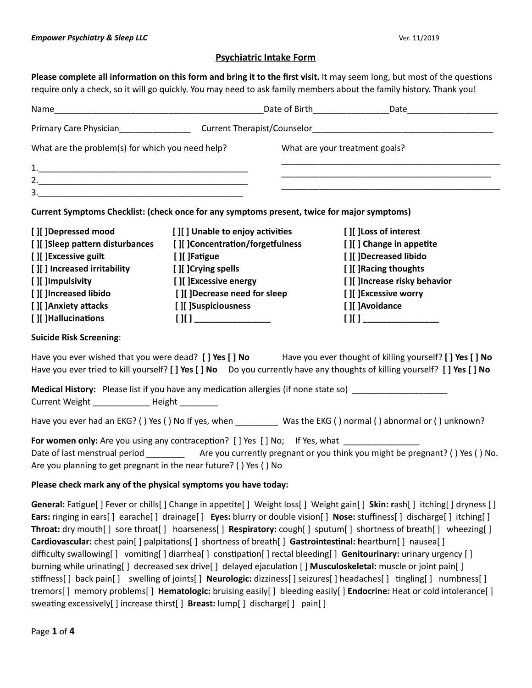# **Psychiatric Intake Form**

**Please complete all information on this form and bring it to the first visit. It may seem long, but most of the questions** require only a check, so it will go quickly. You may need to ask family members about the family history. Thank you!

| What are the problem(s) for which you need help?                   |                                                                                                           | What are your treatment goals?                                                                                                                                                                                                                                                                                                                                                                                                                                                                                                                                                                                                                                                                                                                                                                                                                     |
|--------------------------------------------------------------------|-----------------------------------------------------------------------------------------------------------|----------------------------------------------------------------------------------------------------------------------------------------------------------------------------------------------------------------------------------------------------------------------------------------------------------------------------------------------------------------------------------------------------------------------------------------------------------------------------------------------------------------------------------------------------------------------------------------------------------------------------------------------------------------------------------------------------------------------------------------------------------------------------------------------------------------------------------------------------|
|                                                                    |                                                                                                           |                                                                                                                                                                                                                                                                                                                                                                                                                                                                                                                                                                                                                                                                                                                                                                                                                                                    |
|                                                                    |                                                                                                           | <u> 1989 - Johann John Stoff, deutscher Stoffen und der Stoffen und der Stoffen und der Stoffen und der Stoffen u</u>                                                                                                                                                                                                                                                                                                                                                                                                                                                                                                                                                                                                                                                                                                                              |
|                                                                    |                                                                                                           |                                                                                                                                                                                                                                                                                                                                                                                                                                                                                                                                                                                                                                                                                                                                                                                                                                                    |
|                                                                    | Current Symptoms Checklist: (check once for any symptoms present, twice for major symptoms)               |                                                                                                                                                                                                                                                                                                                                                                                                                                                                                                                                                                                                                                                                                                                                                                                                                                                    |
| [ ][ ]Depressed mood                                               | [ ][ ] Unable to enjoy activities                                                                         | [ ][ ] Loss of interest                                                                                                                                                                                                                                                                                                                                                                                                                                                                                                                                                                                                                                                                                                                                                                                                                            |
| [ ][ ]Sleep pattern disturbances                                   | [][ ]Concentration/forgetfulness                                                                          | [ ][ ] Change in appetite                                                                                                                                                                                                                                                                                                                                                                                                                                                                                                                                                                                                                                                                                                                                                                                                                          |
| [][] Excessive guilt                                               | [ ][ ]Fatigue                                                                                             | [ ][ ]Decreased libido                                                                                                                                                                                                                                                                                                                                                                                                                                                                                                                                                                                                                                                                                                                                                                                                                             |
| [ ][ ] Increased irritability                                      | [ ][ ]Crying spells                                                                                       | [ ][ ]Racing thoughts                                                                                                                                                                                                                                                                                                                                                                                                                                                                                                                                                                                                                                                                                                                                                                                                                              |
| [ ][ ]Impulsivity                                                  | [ ][ ]Excessive energy                                                                                    | [][ ]Increase risky behavior                                                                                                                                                                                                                                                                                                                                                                                                                                                                                                                                                                                                                                                                                                                                                                                                                       |
| [ ][ ]Increased libido                                             | [ ][ ]Decrease need for sleep                                                                             | [][]Excessive worry                                                                                                                                                                                                                                                                                                                                                                                                                                                                                                                                                                                                                                                                                                                                                                                                                                |
| [ ][ ]Anxiety attacks                                              | [][]Suspiciousness                                                                                        | [ ][ ]Avoidance                                                                                                                                                                                                                                                                                                                                                                                                                                                                                                                                                                                                                                                                                                                                                                                                                                    |
| [ ][ ]Hallucinations                                               | $[]$ $[]$ $[]$                                                                                            | $[11]$ $\overline{\phantom{1}}$                                                                                                                                                                                                                                                                                                                                                                                                                                                                                                                                                                                                                                                                                                                                                                                                                    |
| <b>Suicide Risk Screening:</b>                                     |                                                                                                           |                                                                                                                                                                                                                                                                                                                                                                                                                                                                                                                                                                                                                                                                                                                                                                                                                                                    |
|                                                                    |                                                                                                           | Have you ever wished that you were dead? [] Yes [] No Have you ever thought of killing yourself? [] Yes [] No<br>Have you ever tried to kill yourself? [] Yes [] No Do you currently have any thoughts of killing yourself? [] Yes [] No                                                                                                                                                                                                                                                                                                                                                                                                                                                                                                                                                                                                           |
| Current Weight _______________ Height _________                    | Medical History: Please list if you have any medication allergies (if none state so) ____________________ |                                                                                                                                                                                                                                                                                                                                                                                                                                                                                                                                                                                                                                                                                                                                                                                                                                                    |
|                                                                    |                                                                                                           | Have you ever had an EKG? () Yes () No If yes, when ___________ Was the EKG () normal () abnormal or () unknown?                                                                                                                                                                                                                                                                                                                                                                                                                                                                                                                                                                                                                                                                                                                                   |
| Are you planning to get pregnant in the near future? () Yes ( ) No | For women only: Are you using any contraception? [] Yes [] No; If Yes, what ________________              | Date of last menstrual period ______________ Are you currently pregnant or you think you might be pregnant? () Yes () No.                                                                                                                                                                                                                                                                                                                                                                                                                                                                                                                                                                                                                                                                                                                          |
| Please check mark any of the physical symptoms you have today:     |                                                                                                           |                                                                                                                                                                                                                                                                                                                                                                                                                                                                                                                                                                                                                                                                                                                                                                                                                                                    |
|                                                                    | Cardiovascular: chest pain[] palpitations[] shortness of breath[] Gastrointestinal: heartburn[] nausea[]  | General: Fatigue[] Fever or chills[] Change in appetite[] Weight loss[] Weight gain[] Skin: rash[] itching[] dryness []<br>Ears: ringing in ears[] earache[] drainage[] Eyes: blurry or double vision[] Nose: stuffiness[] discharge[] itching[]<br>Throat: dry mouth[] sore throat[] hoarseness[] Respiratory: cough[] sputum[] shortness of breath[] wheezing[]<br>difficulty swallowing[] vomiting[] diarrhea[] constipation[] rectal bleeding[] Genitourinary: urinary urgency []<br>burning while urinating[] decreased sex drive[] delayed ejaculation [] Musculoskeletal: muscle or joint pain[]<br>stiffness[] back pain[] swelling of joints[] Neurologic: dizziness[] seizures[] headaches[] tingling[] numbness[]<br>tremors[] memory problems[] Hematologic: bruising easily[] bleeding easily[] Endocrine: Heat or cold intolerance[] |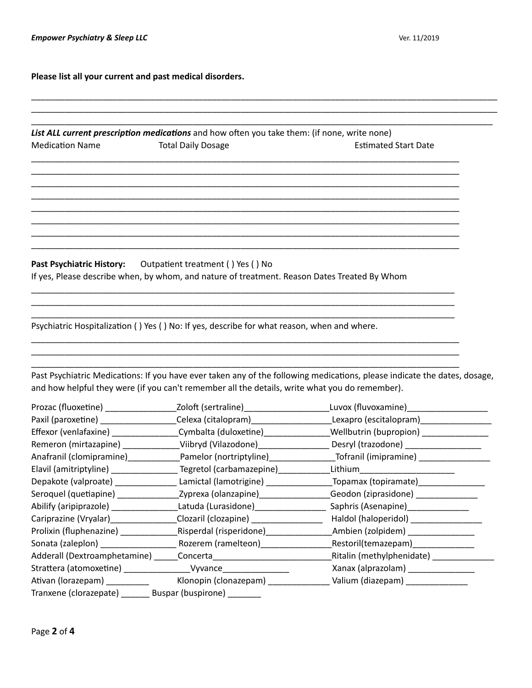**Please list all your current and past medical disorders.**

|                                                             | List ALL current prescription medications and how often you take them: (if none, write none)                                          |                                                                                                                                                                                                                                                             |
|-------------------------------------------------------------|---------------------------------------------------------------------------------------------------------------------------------------|-------------------------------------------------------------------------------------------------------------------------------------------------------------------------------------------------------------------------------------------------------------|
| <b>Medication Name</b>                                      | <b>Total Daily Dosage</b>                                                                                                             | <b>Estimated Start Date</b>                                                                                                                                                                                                                                 |
|                                                             |                                                                                                                                       |                                                                                                                                                                                                                                                             |
|                                                             |                                                                                                                                       |                                                                                                                                                                                                                                                             |
|                                                             |                                                                                                                                       |                                                                                                                                                                                                                                                             |
|                                                             |                                                                                                                                       |                                                                                                                                                                                                                                                             |
|                                                             |                                                                                                                                       |                                                                                                                                                                                                                                                             |
|                                                             |                                                                                                                                       |                                                                                                                                                                                                                                                             |
|                                                             |                                                                                                                                       |                                                                                                                                                                                                                                                             |
|                                                             |                                                                                                                                       |                                                                                                                                                                                                                                                             |
| Past Psychiatric History: Outpatient treatment () Yes () No |                                                                                                                                       |                                                                                                                                                                                                                                                             |
|                                                             | If yes, Please describe when, by whom, and nature of treatment. Reason Dates Treated By Whom                                          |                                                                                                                                                                                                                                                             |
|                                                             |                                                                                                                                       |                                                                                                                                                                                                                                                             |
|                                                             |                                                                                                                                       |                                                                                                                                                                                                                                                             |
|                                                             |                                                                                                                                       |                                                                                                                                                                                                                                                             |
|                                                             | and how helpful they were (if you can't remember all the details, write what you do remember).                                        | Past Psychiatric Medications: If you have ever taken any of the following medications, please indicate the dates, dosage,                                                                                                                                   |
|                                                             |                                                                                                                                       |                                                                                                                                                                                                                                                             |
|                                                             |                                                                                                                                       |                                                                                                                                                                                                                                                             |
|                                                             |                                                                                                                                       | Prozac (fluoxetine) _________________________Zoloft (sertraline)________________________Luvox (fluvoxamine)___________________________<br>Paxil (paroxetine) ____________________Celexa (citalopram)_____________________Lexapro (escitalopram)____________ |
|                                                             | Effexor (venlafaxine) ____________________Cymbalta (duloxetine)_________________                                                      | _Wellbutrin (bupropion) ________________                                                                                                                                                                                                                    |
|                                                             |                                                                                                                                       | Remeron (mirtazapine) _____________Viibryd (Vilazodone) __________________ Desryl (trazodone) _______________                                                                                                                                               |
|                                                             |                                                                                                                                       | Anafranil (clomipramine)_____________Pamelor (nortriptyline)_________________Tofranil (imipramine) _________________                                                                                                                                        |
|                                                             | Elavil (amitriptyline) __________________Tegretol (carbamazepine)_______________                                                      | Lithium_______________________                                                                                                                                                                                                                              |
|                                                             |                                                                                                                                       | Depakote (valproate) ___________________Lamictal (lamotrigine) _________________Topamax (topiramate) ____________                                                                                                                                           |
|                                                             |                                                                                                                                       | Seroquel (quetiapine) _________________Zyprexa (olanzapine)_________________Geodon (ziprasidone) _____________                                                                                                                                              |
|                                                             |                                                                                                                                       | Abilify (aripiprazole) ____________________Latuda (Lurasidone)___________________Saphris (Asenapine)_____________                                                                                                                                           |
|                                                             |                                                                                                                                       | Cariprazine (Vryalar)_________________Clozaril (clozapine) ______________________ Haldol (haloperidol) ________________                                                                                                                                     |
|                                                             |                                                                                                                                       |                                                                                                                                                                                                                                                             |
|                                                             | Prolixin (fluphenazine) _____________________Risperdal (risperidone) ____________                                                     | Ambien (zolpidem) _______________                                                                                                                                                                                                                           |
|                                                             |                                                                                                                                       | Ritalin (methylphenidate) ______________                                                                                                                                                                                                                    |
|                                                             |                                                                                                                                       |                                                                                                                                                                                                                                                             |
|                                                             | Strattera (atomoxetine) ___________________Vyvance___________________<br>Tranxene (clorazepate) ________ Buspar (buspirone) _________ | Xanax (alprazolam) _________________<br>Klonopin (clonazepam) _________________ Valium (diazepam) _____________                                                                                                                                             |

\_\_\_\_\_\_\_\_\_\_\_\_\_\_\_\_\_\_\_\_\_\_\_\_\_\_\_\_\_\_\_\_\_\_\_\_\_\_\_\_\_\_\_\_\_\_\_\_\_\_\_\_\_\_\_\_\_\_\_\_\_\_\_\_\_\_\_\_\_\_\_\_\_\_\_\_\_\_\_\_\_\_\_\_\_\_\_\_\_\_\_\_\_\_\_\_\_\_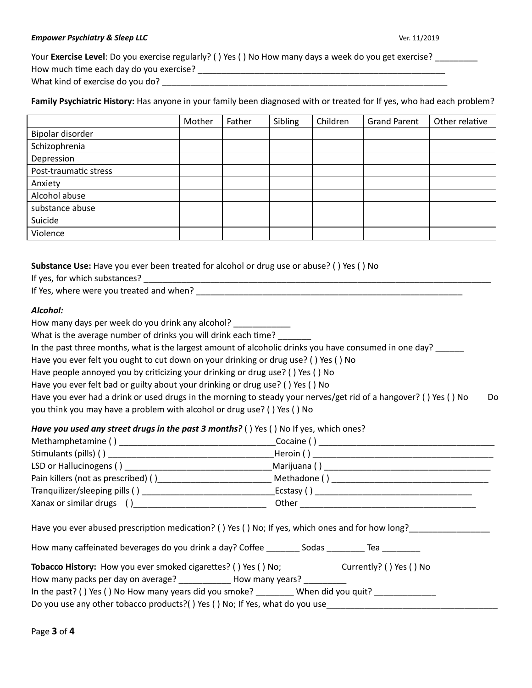#### *Empower Psychiatry & Sleep LLC* Ver. 11/2019

Your **Exercise Level**: Do you exercise regularly? ( ) Yes ( ) No How many days a week do you get exercise? \_\_\_\_\_\_\_\_ How much me each day do you exercise? \_\_\_\_\_\_\_\_\_\_\_\_\_\_\_\_\_\_\_\_\_\_\_\_\_\_\_\_\_\_\_\_\_\_\_\_\_\_\_\_\_\_\_\_\_\_\_\_\_\_\_\_ What kind of exercise do you do?

# **Family Psychiatric History:** Has anyone in your family been diagnosed with or treated for If yes, who had each problem?

|                       | Mother | Father | Sibling | Children | <b>Grand Parent</b> | Other relative |
|-----------------------|--------|--------|---------|----------|---------------------|----------------|
| Bipolar disorder      |        |        |         |          |                     |                |
| Schizophrenia         |        |        |         |          |                     |                |
| Depression            |        |        |         |          |                     |                |
| Post-traumatic stress |        |        |         |          |                     |                |
| Anxiety               |        |        |         |          |                     |                |
| Alcohol abuse         |        |        |         |          |                     |                |
| substance abuse       |        |        |         |          |                     |                |
| Suicide               |        |        |         |          |                     |                |
| Violence              |        |        |         |          |                     |                |

### **Substance Use:** Have you ever been treated for alcohol or drug use or abuse? ( ) Yes ( ) No

| If yes, for which substances? |
|-------------------------------|
|-------------------------------|

If Yes, where were you treated and when? \_\_\_\_\_\_\_\_\_\_\_\_\_\_\_\_\_\_\_\_\_\_\_\_\_\_\_\_\_\_\_\_\_\_\_\_\_\_\_\_\_\_\_\_\_\_\_\_\_\_\_\_\_\_\_\_

# *Alcohol:*

| How many days per week do you drink any alcohol?                                                                 |    |
|------------------------------------------------------------------------------------------------------------------|----|
| What is the average number of drinks you will drink each time?                                                   |    |
| In the past three months, what is the largest amount of alcoholic drinks you have consumed in one day?           |    |
| Have you ever felt you ought to cut down on your drinking or drug use? () Yes () No                              |    |
| Have people annoyed you by criticizing your drinking or drug use? () Yes () No                                   |    |
| Have you ever felt bad or guilty about your drinking or drug use? () Yes () No                                   |    |
| Have you ever had a drink or used drugs in the morning to steady your nerves/get rid of a hangover? () Yes () No | Do |
| you think you may have a problem with alcohol or drug use? () Yes () No                                          |    |
|                                                                                                                  |    |

 $\overline{\phantom{a}}$  ,  $\overline{\phantom{a}}$  ,  $\overline{\phantom{a}}$  ,  $\overline{\phantom{a}}$  ,  $\overline{\phantom{a}}$  ,  $\overline{\phantom{a}}$  ,  $\overline{\phantom{a}}$  ,  $\overline{\phantom{a}}$  ,  $\overline{\phantom{a}}$  ,  $\overline{\phantom{a}}$  ,  $\overline{\phantom{a}}$  ,  $\overline{\phantom{a}}$  ,  $\overline{\phantom{a}}$  ,  $\overline{\phantom{a}}$  ,  $\overline{\phantom{a}}$  ,  $\overline{\phantom{a}}$ 

# *Have you used any street drugs in the past 3 months?* ( ) Yes ( ) No If yes, which ones?

| Have you ever abused prescription medication? () Yes () No; If yes, which ones and for how long?                                                                                                                                                                            |  |  |
|-----------------------------------------------------------------------------------------------------------------------------------------------------------------------------------------------------------------------------------------------------------------------------|--|--|
| Tobacco History: How you ever smoked cigarettes? () Yes () No; Currently? () Yes () No<br>How many packs per day on average? _____________ How many years? __________<br>In the past? () Yes () No How many years did you smoke? _________ When did you quit? _____________ |  |  |

Do you use any other tobacco products?() Yes () No; If Yes, what do you use